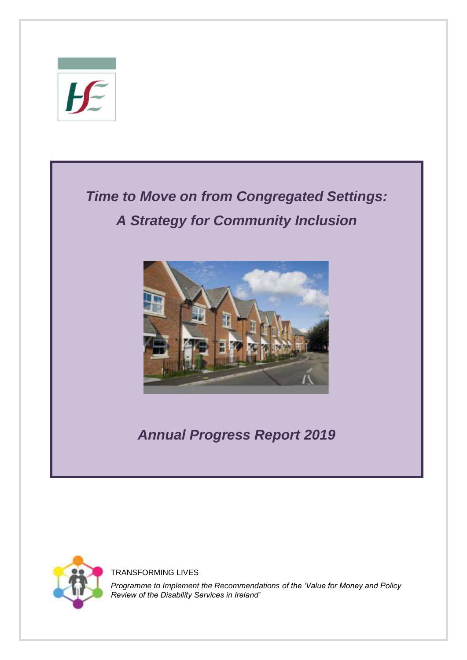



TRANSFORMING LIVES

*Programme to Implement the Recommendations of the 'Value for Money and Policy Review of the Disability Services in Ireland'*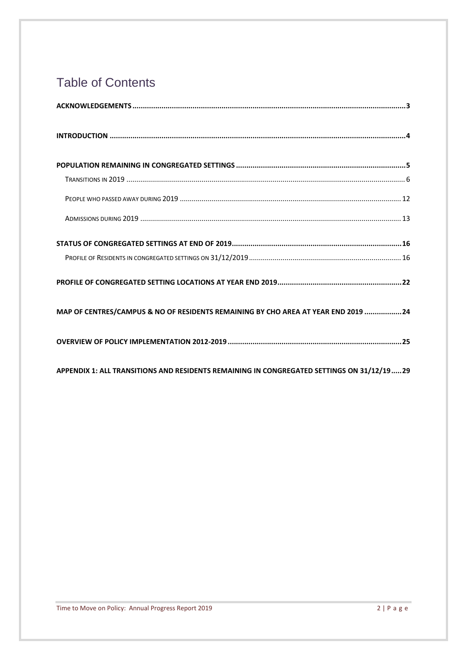# Table of Contents

| MAP OF CENTRES/CAMPUS & NO OF RESIDENTS REMAINING BY CHO AREA AT YEAR END 2019 24 |  |
|-----------------------------------------------------------------------------------|--|
|                                                                                   |  |

<span id="page-1-0"></span>**[APPENDIX 1: ALL TRANSITIONS AND RESIDENTS REMAINING IN CONGREGATED SETTINGS ON](#page-28-0) 31/12/19.....29**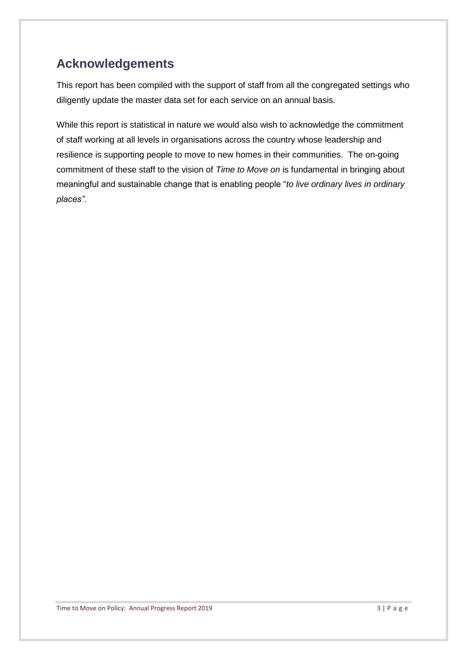# **Acknowledgements**

This report has been compiled with the support of staff from all the congregated settings who diligently update the master data set for each service on an annual basis.

While this report is statistical in nature we would also wish to acknowledge the commitment of staff working at all levels in organisations across the country whose leadership and resilience is supporting people to move to new homes in their communities. The on-going commitment of these staff to the vision of *Time to Move on* is fundamental in bringing about meaningful and sustainable change that is enabling people "*to live ordinary lives in ordinary places".*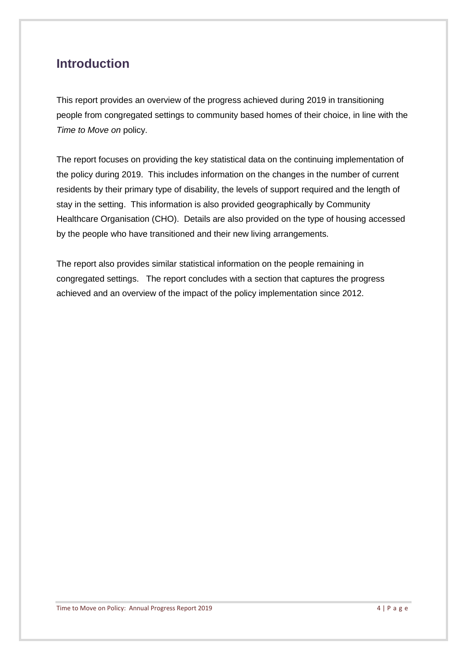## <span id="page-3-0"></span>**Introduction**

This report provides an overview of the progress achieved during 2019 in transitioning people from congregated settings to community based homes of their choice, in line with the *Time to Move on* policy.

The report focuses on providing the key statistical data on the continuing implementation of the policy during 2019. This includes information on the changes in the number of current residents by their primary type of disability, the levels of support required and the length of stay in the setting. This information is also provided geographically by Community Healthcare Organisation (CHO). Details are also provided on the type of housing accessed by the people who have transitioned and their new living arrangements.

The report also provides similar statistical information on the people remaining in congregated settings. The report concludes with a section that captures the progress achieved and an overview of the impact of the policy implementation since 2012.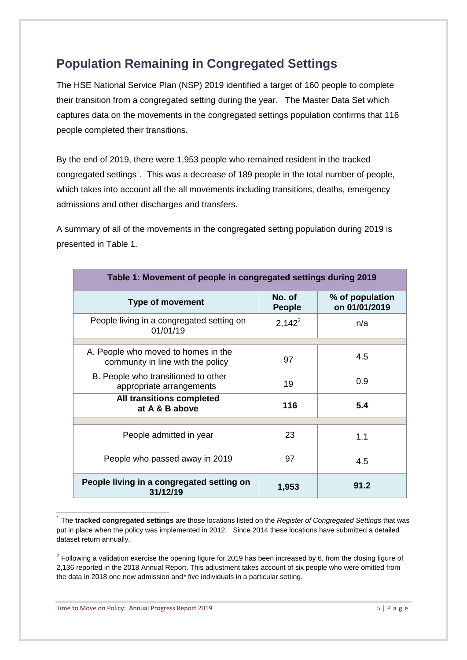# <span id="page-4-0"></span>**Population Remaining in Congregated Settings**

The HSE National Service Plan (NSP) 2019 identified a target of 160 people to complete their transition from a congregated setting during the year. The Master Data Set which captures data on the movements in the congregated settings population confirms that 116 people completed their transitions.

By the end of 2019, there were 1,953 people who remained resident in the tracked congregated settings<sup>1</sup>. This was a decrease of 189 people in the total number of people, which takes into account all the all movements including transitions, deaths, emergency admissions and other discharges and transfers.

A summary of all of the movements in the congregated setting population during 2019 is presented in Table 1.

| Table 1: Movement of people in congregated settings during 2019          |                         |                                  |  |  |
|--------------------------------------------------------------------------|-------------------------|----------------------------------|--|--|
| <b>Type of movement</b>                                                  | No. of<br><b>People</b> | % of population<br>on 01/01/2019 |  |  |
| People living in a congregated setting on<br>01/01/19                    | $2,142^2$               | n/a                              |  |  |
|                                                                          |                         |                                  |  |  |
| A. People who moved to homes in the<br>community in line with the policy | 97                      | 4.5                              |  |  |
| B. People who transitioned to other<br>appropriate arrangements          | 19                      | 0.9                              |  |  |
| All transitions completed<br>at A & B above                              | 116                     | 5.4                              |  |  |
|                                                                          |                         |                                  |  |  |
| People admitted in year                                                  | 23                      | 1.1                              |  |  |
| People who passed away in 2019                                           | 97                      | 4.5                              |  |  |
| People living in a congregated setting on<br>31/12/19                    | 1,953                   | 91.2                             |  |  |

 1 The **tracked congregated settings** are those locations listed on the *Register of Congregated Settings* that was put in place when the policy was implemented in 2012. Since 2014 these locations have submitted a detailed dataset return annually.

 $2$  Following a validation exercise the opening figure for 2019 has been increased by 6, from the closing figure of 2,136 reported in the 2018 Annual Report. This adjustment takes account of six people who were omitted from the data in 2018 one new admission and*\** five individuals in a particular setting.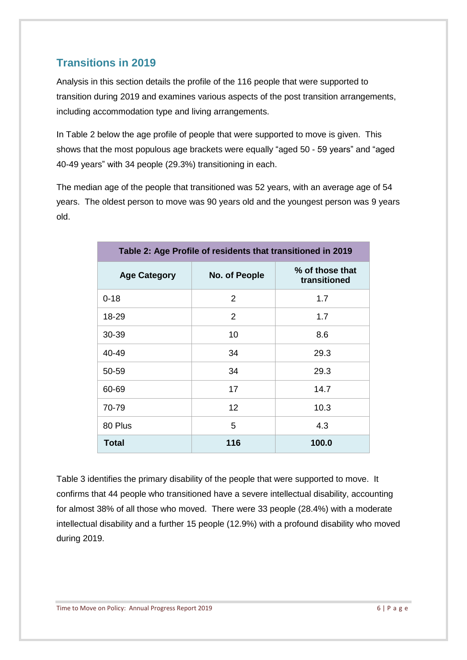## <span id="page-5-0"></span>**Transitions in 2019**

Analysis in this section details the profile of the 116 people that were supported to transition during 2019 and examines various aspects of the post transition arrangements, including accommodation type and living arrangements.

In Table 2 below the age profile of people that were supported to move is given. This shows that the most populous age brackets were equally "aged 50 - 59 years" and "aged 40-49 years" with 34 people (29.3%) transitioning in each.

The median age of the people that transitioned was 52 years, with an average age of 54 years. The oldest person to move was 90 years old and the youngest person was 9 years old.

| Table 2: Age Profile of residents that transitioned in 2019 |               |                                 |  |  |
|-------------------------------------------------------------|---------------|---------------------------------|--|--|
| <b>Age Category</b>                                         | No. of People | % of those that<br>transitioned |  |  |
| $0 - 18$                                                    | 2             | 1.7                             |  |  |
| 18-29                                                       | 2             | 1.7                             |  |  |
| 30-39                                                       | 10            | 8.6                             |  |  |
| 40-49                                                       | 34            | 29.3                            |  |  |
| 50-59                                                       | 34            | 29.3                            |  |  |
| 60-69                                                       | 17            | 14.7                            |  |  |
| 70-79                                                       | 12            | 10.3                            |  |  |
| 80 Plus                                                     | 5             | 4.3                             |  |  |
| <b>Total</b>                                                | 116           | 100.0                           |  |  |

Table 3 identifies the primary disability of the people that were supported to move. It confirms that 44 people who transitioned have a severe intellectual disability, accounting for almost 38% of all those who moved. There were 33 people (28.4%) with a moderate intellectual disability and a further 15 people (12.9%) with a profound disability who moved during 2019.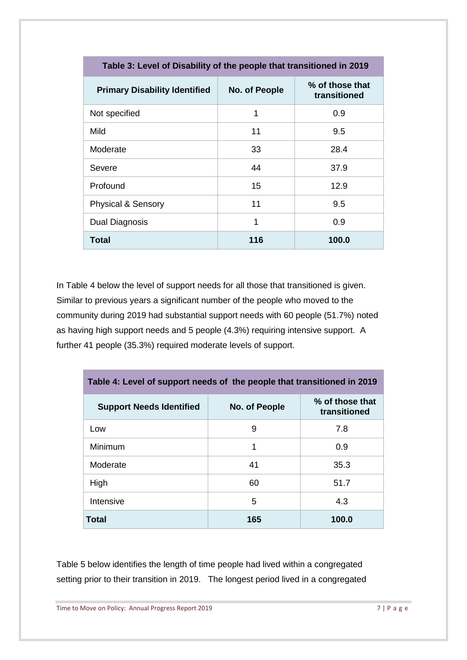| Table 3: Level of Disability of the people that transitioned in 2019 |               |                                 |  |  |
|----------------------------------------------------------------------|---------------|---------------------------------|--|--|
| <b>Primary Disability Identified</b>                                 | No. of People | % of those that<br>transitioned |  |  |
| Not specified                                                        | 1             | 0.9                             |  |  |
| Mild                                                                 | 11            | 9.5                             |  |  |
| Moderate                                                             | 33            | 28.4                            |  |  |
| Severe                                                               | 44            | 37.9                            |  |  |
| Profound                                                             | 15            | 12.9                            |  |  |
| <b>Physical &amp; Sensory</b>                                        | 11            | 9.5                             |  |  |
| Dual Diagnosis                                                       | 1             | 0.9                             |  |  |
| Total                                                                | 116           | 100.0                           |  |  |

In Table 4 below the level of support needs for all those that transitioned is given. Similar to previous years a significant number of the people who moved to the community during 2019 had substantial support needs with 60 people (51.7%) noted as having high support needs and 5 people (4.3%) requiring intensive support. A further 41 people (35.3%) required moderate levels of support.

| Table 4: Level of support needs of the people that transitioned in 2019 |               |                                 |  |  |
|-------------------------------------------------------------------------|---------------|---------------------------------|--|--|
| <b>Support Needs Identified</b>                                         | No. of People | % of those that<br>transitioned |  |  |
| Low                                                                     | 9             | 7.8                             |  |  |
| Minimum                                                                 | 1             | 0.9                             |  |  |
| Moderate                                                                | 41            | 35.3                            |  |  |
| High                                                                    | 60            | 51.7                            |  |  |
| Intensive                                                               | 5             | 4.3                             |  |  |
| Total                                                                   | 165           | 100.0                           |  |  |

Table 5 below identifies the length of time people had lived within a congregated setting prior to their transition in 2019. The longest period lived in a congregated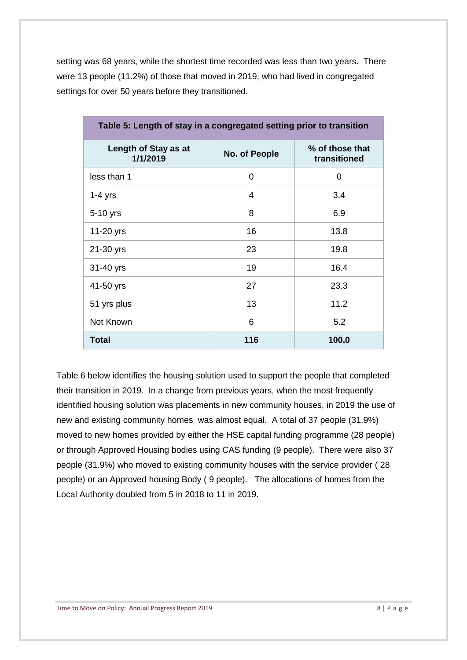setting was 68 years, while the shortest time recorded was less than two years. There were 13 people (11.2%) of those that moved in 2019, who had lived in congregated settings for over 50 years before they transitioned.

| rapio of Editgen of July 111 a Jongregated Journy prior to transition |                |                                 |  |  |
|-----------------------------------------------------------------------|----------------|---------------------------------|--|--|
| Length of Stay as at<br>1/1/2019                                      | No. of People  | % of those that<br>transitioned |  |  |
| less than 1                                                           | $\overline{0}$ | 0                               |  |  |
| $1-4$ yrs                                                             | 4              | 3.4                             |  |  |
| 5-10 yrs                                                              | 8              | 6.9                             |  |  |
| 11-20 yrs                                                             | 16             | 13.8                            |  |  |
| 21-30 yrs                                                             | 23             | 19.8                            |  |  |
| 31-40 yrs                                                             | 19             | 16.4                            |  |  |
| 41-50 yrs                                                             | 27             | 23.3                            |  |  |
| 51 yrs plus                                                           | 13             | 11.2                            |  |  |
| Not Known                                                             | 6              | 5.2                             |  |  |
| <b>Total</b>                                                          | 116            | 100.0                           |  |  |

**Table 5: Length of stay in a congregated setting prior to transition**

Table 6 below identifies the housing solution used to support the people that completed their transition in 2019. In a change from previous years, when the most frequently identified housing solution was placements in new community houses, in 2019 the use of new and existing community homes was almost equal. A total of 37 people (31.9%) moved to new homes provided by either the HSE capital funding programme (28 people) or through Approved Housing bodies using CAS funding (9 people). There were also 37 people (31.9%) who moved to existing community houses with the service provider ( 28 people) or an Approved housing Body ( 9 people). The allocations of homes from the Local Authority doubled from 5 in 2018 to 11 in 2019.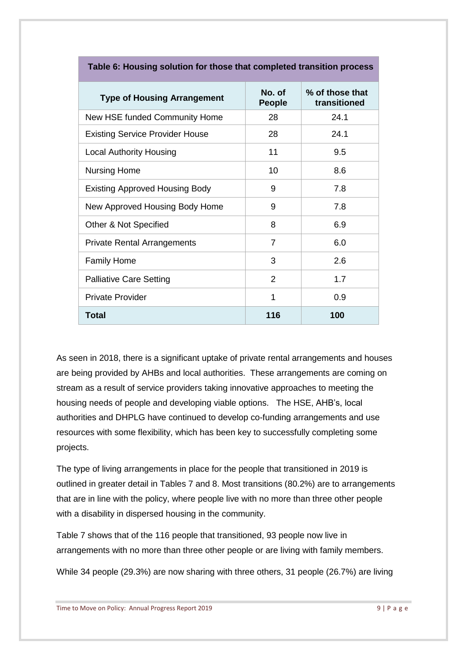| <b>Type of Housing Arrangement</b>     | No. of<br><b>People</b> | % of those that<br>transitioned |
|----------------------------------------|-------------------------|---------------------------------|
| New HSE funded Community Home          | 28                      | 24.1                            |
| <b>Existing Service Provider House</b> | 28                      | 24.1                            |
| <b>Local Authority Housing</b>         | 11                      | 9.5                             |
| Nursing Home                           | 10                      | 8.6                             |
| <b>Existing Approved Housing Body</b>  | 9                       | 7.8                             |
| New Approved Housing Body Home         | 9                       | 7.8                             |
| Other & Not Specified                  | 8                       | 6.9                             |
| <b>Private Rental Arrangements</b>     | 7                       | 6.0                             |
| <b>Family Home</b>                     | 3                       | 2.6                             |
| <b>Palliative Care Setting</b>         | 2                       | 1.7                             |
| <b>Private Provider</b>                | 1                       | 0.9                             |
| Total                                  | 116                     | 100                             |

**Table 6: Housing solution for those that completed transition process**

As seen in 2018, there is a significant uptake of private rental arrangements and houses are being provided by AHBs and local authorities. These arrangements are coming on stream as a result of service providers taking innovative approaches to meeting the housing needs of people and developing viable options. The HSE, AHB's, local authorities and DHPLG have continued to develop co-funding arrangements and use resources with some flexibility, which has been key to successfully completing some projects.

The type of living arrangements in place for the people that transitioned in 2019 is outlined in greater detail in Tables 7 and 8. Most transitions (80.2%) are to arrangements that are in line with the policy, where people live with no more than three other people with a disability in dispersed housing in the community.

Table 7 shows that of the 116 people that transitioned, 93 people now live in arrangements with no more than three other people or are living with family members.

While 34 people (29.3%) are now sharing with three others, 31 people (26.7%) are living

Time to Move on Policy: Annual Progress Report 2019 **9 | P** a g e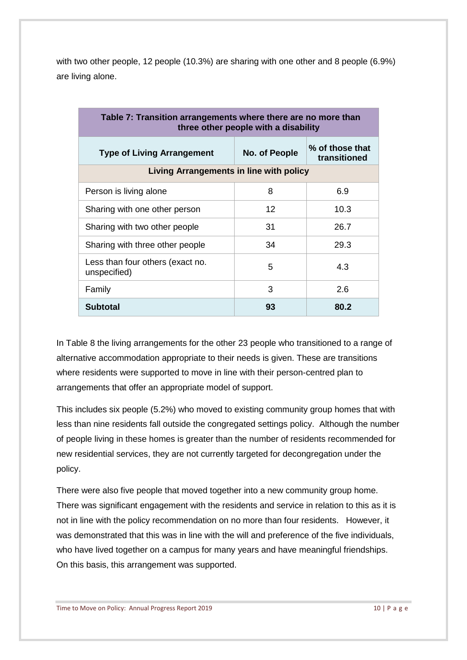with two other people, 12 people (10.3%) are sharing with one other and 8 people (6.9%) are living alone.

| Table 7: Transition arrangements where there are no more than<br>three other people with a disability |    |      |  |  |  |
|-------------------------------------------------------------------------------------------------------|----|------|--|--|--|
| % of those that<br><b>Type of Living Arrangement</b><br>No. of People<br>transitioned                 |    |      |  |  |  |
| Living Arrangements in line with policy                                                               |    |      |  |  |  |
| Person is living alone                                                                                | 8  | 6.9  |  |  |  |
| Sharing with one other person                                                                         | 12 | 10.3 |  |  |  |
| Sharing with two other people                                                                         | 31 | 26.7 |  |  |  |
| Sharing with three other people                                                                       | 34 | 29.3 |  |  |  |
| Less than four others (exact no.<br>unspecified)                                                      | 5  | 4.3  |  |  |  |
| Family                                                                                                | 3  | 2.6  |  |  |  |
| <b>Subtotal</b>                                                                                       | 93 | 80.2 |  |  |  |

In Table 8 the living arrangements for the other 23 people who transitioned to a range of alternative accommodation appropriate to their needs is given. These are transitions where residents were supported to move in line with their person-centred plan to arrangements that offer an appropriate model of support.

This includes six people (5.2%) who moved to existing community group homes that with less than nine residents fall outside the congregated settings policy. Although the number of people living in these homes is greater than the number of residents recommended for new residential services, they are not currently targeted for decongregation under the policy.

There were also five people that moved together into a new community group home. There was significant engagement with the residents and service in relation to this as it is not in line with the policy recommendation on no more than four residents. However, it was demonstrated that this was in line with the will and preference of the five individuals, who have lived together on a campus for many years and have meaningful friendships. On this basis, this arrangement was supported.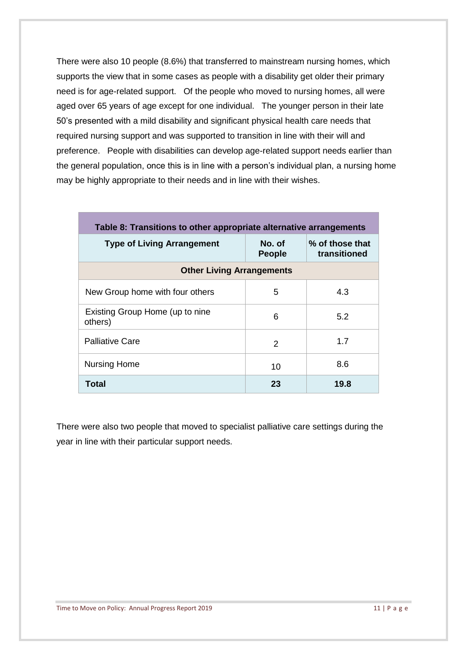There were also 10 people (8.6%) that transferred to mainstream nursing homes, which supports the view that in some cases as people with a disability get older their primary need is for age-related support. Of the people who moved to nursing homes, all were aged over 65 years of age except for one individual. The younger person in their late 50's presented with a mild disability and significant physical health care needs that required nursing support and was supported to transition in line with their will and preference. People with disabilities can develop age-related support needs earlier than the general population, once this is in line with a person's individual plan, a nursing home may be highly appropriate to their needs and in line with their wishes.

| Table 8: Transitions to other appropriate alternative arrangements |                         |                                 |  |  |  |
|--------------------------------------------------------------------|-------------------------|---------------------------------|--|--|--|
| <b>Type of Living Arrangement</b>                                  | No. of<br><b>People</b> | % of those that<br>transitioned |  |  |  |
| <b>Other Living Arrangements</b>                                   |                         |                                 |  |  |  |
| New Group home with four others                                    | 5                       | 4.3                             |  |  |  |
| Existing Group Home (up to nine<br>others)                         | 6                       | 5.2                             |  |  |  |
| <b>Palliative Care</b>                                             | 2                       | 1.7                             |  |  |  |
| <b>Nursing Home</b>                                                | 10                      | 8.6                             |  |  |  |
| Total                                                              | 23                      | 19.8                            |  |  |  |

There were also two people that moved to specialist palliative care settings during the year in line with their particular support needs.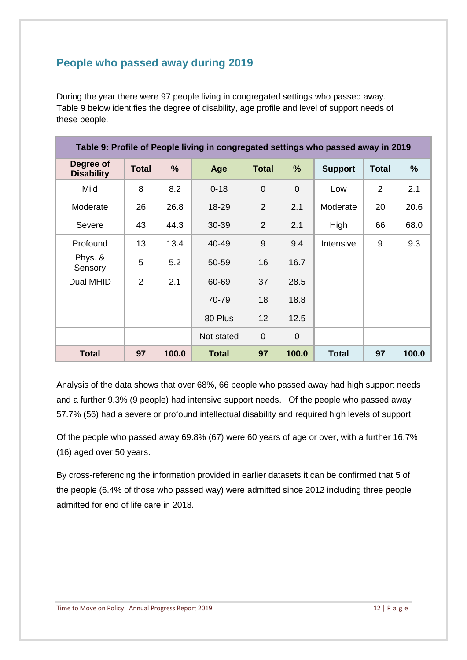## <span id="page-11-0"></span>**People who passed away during 2019**

During the year there were 97 people living in congregated settings who passed away. Table 9 below identifies the degree of disability, age profile and level of support needs of these people.

| Table 9: Profile of People living in congregated settings who passed away in 2019 |              |       |              |                |                |                |                |               |
|-----------------------------------------------------------------------------------|--------------|-------|--------------|----------------|----------------|----------------|----------------|---------------|
| Degree of<br><b>Disability</b>                                                    | <b>Total</b> | %     | Age          | <b>Total</b>   | %              | <b>Support</b> | <b>Total</b>   | $\frac{9}{6}$ |
| Mild                                                                              | 8            | 8.2   | $0 - 18$     | $\overline{0}$ | $\overline{0}$ | Low            | $\overline{2}$ | 2.1           |
| Moderate                                                                          | 26           | 26.8  | 18-29        | $\overline{2}$ | 2.1            | Moderate       | 20             | 20.6          |
| Severe                                                                            | 43           | 44.3  | 30-39        | $\overline{2}$ | 2.1            | High           | 66             | 68.0          |
| Profound                                                                          | 13           | 13.4  | 40-49        | 9              | 9.4            | Intensive      | 9              | 9.3           |
| Phys. &<br>Sensory                                                                | 5            | 5.2   | 50-59        | 16             | 16.7           |                |                |               |
| Dual MHID                                                                         | 2            | 2.1   | 60-69        | 37             | 28.5           |                |                |               |
|                                                                                   |              |       | 70-79        | 18             | 18.8           |                |                |               |
|                                                                                   |              |       | 80 Plus      | 12             | 12.5           |                |                |               |
|                                                                                   |              |       | Not stated   | $\overline{0}$ | $\mathbf 0$    |                |                |               |
| <b>Total</b>                                                                      | 97           | 100.0 | <b>Total</b> | 97             | 100.0          | <b>Total</b>   | 97             | 100.0         |

Analysis of the data shows that over 68%, 66 people who passed away had high support needs and a further 9.3% (9 people) had intensive support needs. Of the people who passed away 57.7% (56) had a severe or profound intellectual disability and required high levels of support.

Of the people who passed away 69.8% (67) were 60 years of age or over, with a further 16.7% (16) aged over 50 years.

By cross-referencing the information provided in earlier datasets it can be confirmed that 5 of the people (6.4% of those who passed way) were admitted since 2012 including three people admitted for end of life care in 2018.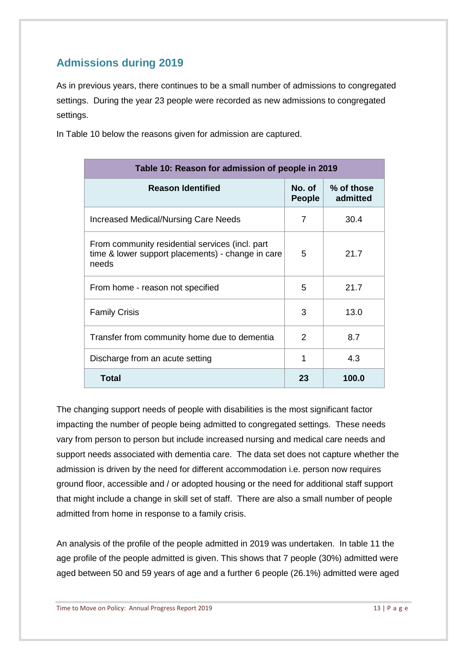## <span id="page-12-0"></span>**Admissions during 2019**

As in previous years, there continues to be a small number of admissions to congregated settings. During the year 23 people were recorded as new admissions to congregated settings.

In Table 10 below the reasons given for admission are captured.

| Table 10: Reason for admission of people in 2019                                                              |                         |                        |  |  |
|---------------------------------------------------------------------------------------------------------------|-------------------------|------------------------|--|--|
| <b>Reason Identified</b>                                                                                      | No. of<br><b>People</b> | % of those<br>admitted |  |  |
| Increased Medical/Nursing Care Needs                                                                          | $\overline{7}$          | 30.4                   |  |  |
| From community residential services (incl. part<br>time & lower support placements) - change in care<br>needs | 5                       | 21.7                   |  |  |
| From home - reason not specified                                                                              | 5                       | 21.7                   |  |  |
| <b>Family Crisis</b>                                                                                          | 3                       | 13.0                   |  |  |
| Transfer from community home due to dementia                                                                  | 2                       | 8.7                    |  |  |
| Discharge from an acute setting                                                                               | 1                       | 4.3                    |  |  |
| <b>Total</b>                                                                                                  | 23                      | 100.0                  |  |  |

The changing support needs of people with disabilities is the most significant factor impacting the number of people being admitted to congregated settings. These needs vary from person to person but include increased nursing and medical care needs and support needs associated with dementia care. The data set does not capture whether the admission is driven by the need for different accommodation i.e. person now requires ground floor, accessible and / or adopted housing or the need for additional staff support that might include a change in skill set of staff. There are also a small number of people admitted from home in response to a family crisis.

An analysis of the profile of the people admitted in 2019 was undertaken. In table 11 the age profile of the people admitted is given. This shows that 7 people (30%) admitted were aged between 50 and 59 years of age and a further 6 people (26.1%) admitted were aged

Time to Move on Policy: Annual Progress Report 2019 13 | P a g e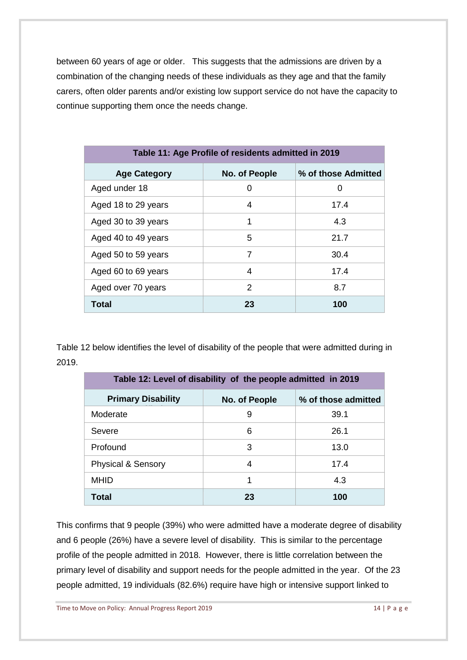between 60 years of age or older. This suggests that the admissions are driven by a combination of the changing needs of these individuals as they age and that the family carers, often older parents and/or existing low support service do not have the capacity to continue supporting them once the needs change.

| Table 11: Age Profile of residents admitted in 2019 |               |                     |  |  |
|-----------------------------------------------------|---------------|---------------------|--|--|
| <b>Age Category</b>                                 | No. of People | % of those Admitted |  |  |
| Aged under 18                                       | 0             | 0                   |  |  |
| Aged 18 to 29 years                                 | 4             | 17.4                |  |  |
| Aged 30 to 39 years                                 | 1             | 4.3                 |  |  |
| Aged 40 to 49 years                                 | 5             | 21.7                |  |  |
| Aged 50 to 59 years                                 | 7             | 30.4                |  |  |
| Aged 60 to 69 years                                 | 4             | 17.4                |  |  |
| Aged over 70 years                                  | $\mathcal{P}$ | 8.7                 |  |  |
| <b>Total</b>                                        | 23            | 100                 |  |  |

Table 12 below identifies the level of disability of the people that were admitted during in 2019.

| Table 12: Level of disability of the people admitted in 2019 |               |                     |  |
|--------------------------------------------------------------|---------------|---------------------|--|
| <b>Primary Disability</b>                                    | No. of People | % of those admitted |  |
| Moderate                                                     | 9             | 39.1                |  |
| Severe                                                       | 6             | 26.1                |  |
| Profound                                                     | 3             | 13.0                |  |
| <b>Physical &amp; Sensory</b>                                | 4             | 17.4                |  |
| <b>MHID</b>                                                  | 1             | 4.3                 |  |
| Total                                                        | 23            | 100                 |  |

This confirms that 9 people (39%) who were admitted have a moderate degree of disability and 6 people (26%) have a severe level of disability. This is similar to the percentage profile of the people admitted in 2018. However, there is little correlation between the primary level of disability and support needs for the people admitted in the year. Of the 23 people admitted, 19 individuals (82.6%) require have high or intensive support linked to

Time to Move on Policy: Annual Progress Report 2019 14 | P a g e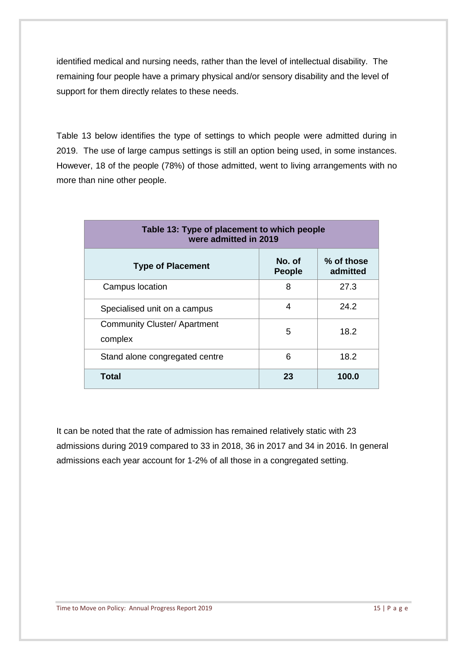identified medical and nursing needs, rather than the level of intellectual disability. The remaining four people have a primary physical and/or sensory disability and the level of support for them directly relates to these needs.

Table 13 below identifies the type of settings to which people were admitted during in 2019. The use of large campus settings is still an option being used, in some instances. However, 18 of the people (78%) of those admitted, went to living arrangements with no more than nine other people.

| Table 13: Type of placement to which people<br>were admitted in 2019 |                         |                        |
|----------------------------------------------------------------------|-------------------------|------------------------|
| <b>Type of Placement</b>                                             | No. of<br><b>People</b> | % of those<br>admitted |
| Campus location                                                      | 8                       | 27.3                   |
| Specialised unit on a campus                                         | 4                       | 24.2                   |
| <b>Community Cluster/ Apartment</b><br>complex                       | 5                       | 18.2                   |
| Stand alone congregated centre                                       | 6                       | 18.2                   |
| Total                                                                | 23                      | 100.0                  |

It can be noted that the rate of admission has remained relatively static with 23 admissions during 2019 compared to 33 in 2018, 36 in 2017 and 34 in 2016. In general admissions each year account for 1-2% of all those in a congregated setting.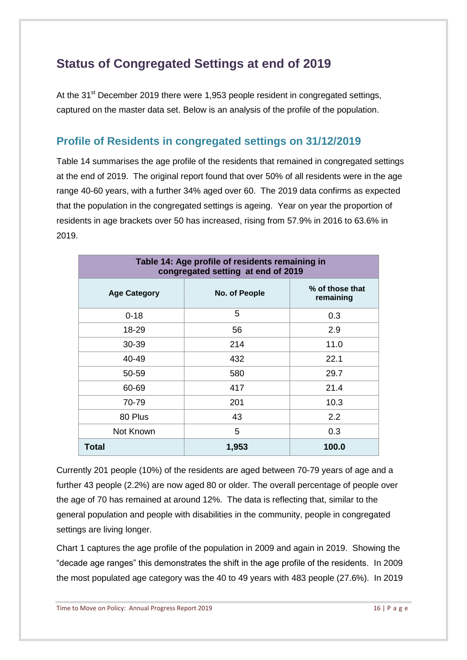# <span id="page-15-0"></span>**Status of Congregated Settings at end of 2019**

At the 31<sup>st</sup> December 2019 there were 1,953 people resident in congregated settings, captured on the master data set. Below is an analysis of the profile of the population.

### <span id="page-15-1"></span>**Profile of Residents in congregated settings on 31/12/2019**

Table 14 summarises the age profile of the residents that remained in congregated settings at the end of 2019. The original report found that over 50% of all residents were in the age range 40-60 years, with a further 34% aged over 60. The 2019 data confirms as expected that the population in the congregated settings is ageing. Year on year the proportion of residents in age brackets over 50 has increased, rising from 57.9% in 2016 to 63.6% in 2019.

| Table 14: Age profile of residents remaining in<br>congregated setting at end of 2019 |               |                              |
|---------------------------------------------------------------------------------------|---------------|------------------------------|
| <b>Age Category</b>                                                                   | No. of People | % of those that<br>remaining |
| $0 - 18$                                                                              | 5             | 0.3                          |
| 18-29                                                                                 | 56            | 2.9                          |
| 30-39                                                                                 | 214           | 11.0                         |
| 40-49                                                                                 | 432           | 22.1                         |
| 50-59                                                                                 | 580           | 29.7                         |
| 60-69                                                                                 | 417           | 21.4                         |
| 70-79                                                                                 | 201           | 10.3                         |
| 80 Plus                                                                               | 43            | 2.2                          |
| Not Known                                                                             | 5             | 0.3                          |
| <b>Total</b>                                                                          | 1,953         | 100.0                        |

Currently 201 people (10%) of the residents are aged between 70-79 years of age and a further 43 people (2.2%) are now aged 80 or older. The overall percentage of people over the age of 70 has remained at around 12%. The data is reflecting that, similar to the general population and people with disabilities in the community, people in congregated settings are living longer.

Chart 1 captures the age profile of the population in 2009 and again in 2019. Showing the "decade age ranges" this demonstrates the shift in the age profile of the residents. In 2009 the most populated age category was the 40 to 49 years with 483 people (27.6%). In 2019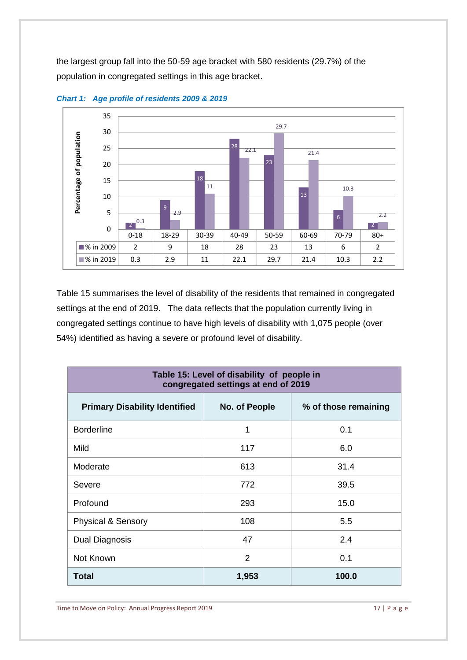the largest group fall into the 50-59 age bracket with 580 residents (29.7%) of the population in congregated settings in this age bracket.



*Chart 1: Age profile of residents 2009 & 2019*

Table 15 summarises the level of disability of the residents that remained in congregated settings at the end of 2019. The data reflects that the population currently living in congregated settings continue to have high levels of disability with 1,075 people (over 54%) identified as having a severe or profound level of disability.

| Table 15: Level of disability of people in<br>congregated settings at end of 2019 |               |                      |  |
|-----------------------------------------------------------------------------------|---------------|----------------------|--|
| <b>Primary Disability Identified</b>                                              | No. of People | % of those remaining |  |
| <b>Borderline</b>                                                                 | 1             | 0.1                  |  |
| Mild                                                                              | 117           | 6.0                  |  |
| Moderate                                                                          | 613           | 31.4                 |  |
| Severe                                                                            | 772           | 39.5                 |  |
| Profound                                                                          | 293           | 15.0                 |  |
| <b>Physical &amp; Sensory</b>                                                     | 108           | 5.5                  |  |
| Dual Diagnosis                                                                    | 47            | 2.4                  |  |
| Not Known                                                                         | 2             | 0.1                  |  |
| Total                                                                             | 1,953         | 100.0                |  |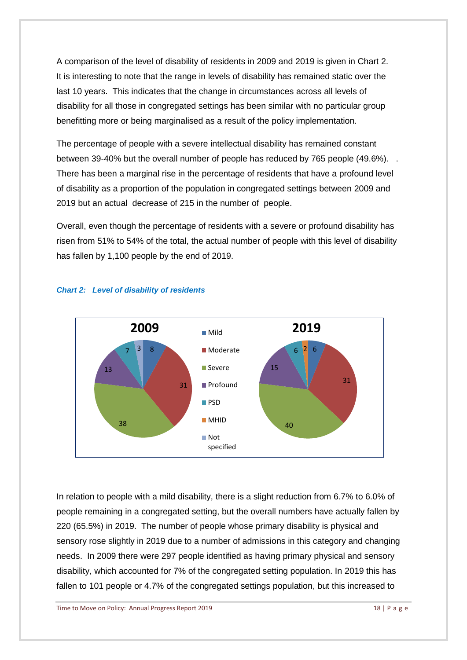A comparison of the level of disability of residents in 2009 and 2019 is given in Chart 2. It is interesting to note that the range in levels of disability has remained static over the last 10 years. This indicates that the change in circumstances across all levels of disability for all those in congregated settings has been similar with no particular group benefitting more or being marginalised as a result of the policy implementation.

The percentage of people with a severe intellectual disability has remained constant between 39-40% but the overall number of people has reduced by 765 people (49.6%). . There has been a marginal rise in the percentage of residents that have a profound level of disability as a proportion of the population in congregated settings between 2009 and 2019 but an actual decrease of 215 in the number of people.

Overall, even though the percentage of residents with a severe or profound disability has risen from 51% to 54% of the total, the actual number of people with this level of disability has fallen by 1,100 people by the end of 2019.



### *Chart 2: Level of disability of residents*

In relation to people with a mild disability, there is a slight reduction from 6.7% to 6.0% of people remaining in a congregated setting, but the overall numbers have actually fallen by 220 (65.5%) in 2019. The number of people whose primary disability is physical and sensory rose slightly in 2019 due to a number of admissions in this category and changing needs. In 2009 there were 297 people identified as having primary physical and sensory disability, which accounted for 7% of the congregated setting population. In 2019 this has fallen to 101 people or 4.7% of the congregated settings population, but this increased to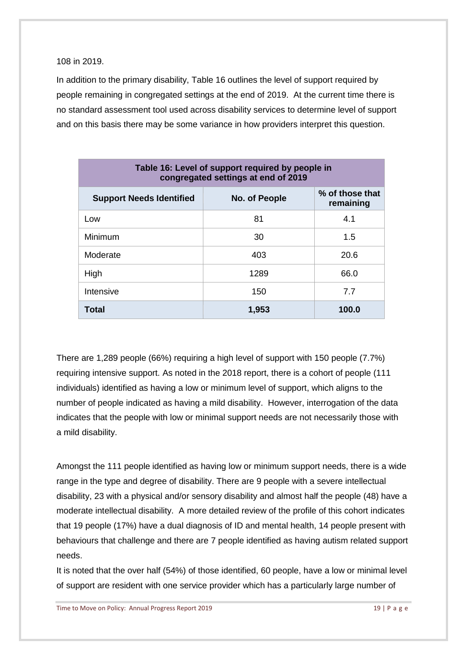108 in 2019.

In addition to the primary disability, Table 16 outlines the level of support required by people remaining in congregated settings at the end of 2019. At the current time there is no standard assessment tool used across disability services to determine level of support and on this basis there may be some variance in how providers interpret this question.

| Table 16: Level of support required by people in<br>congregated settings at end of 2019 |               |                              |
|-----------------------------------------------------------------------------------------|---------------|------------------------------|
| <b>Support Needs Identified</b>                                                         | No. of People | % of those that<br>remaining |
| Low                                                                                     | 81            | 4.1                          |
| Minimum                                                                                 | 30            | 1.5                          |
| Moderate                                                                                | 403           | 20.6                         |
| High                                                                                    | 1289          | 66.0                         |
| Intensive                                                                               | 150           | 7.7                          |
| Total                                                                                   | 1,953         | 100.0                        |

There are 1,289 people (66%) requiring a high level of support with 150 people (7.7%) requiring intensive support. As noted in the 2018 report, there is a cohort of people (111 individuals) identified as having a low or minimum level of support, which aligns to the number of people indicated as having a mild disability. However, interrogation of the data indicates that the people with low or minimal support needs are not necessarily those with a mild disability.

Amongst the 111 people identified as having low or minimum support needs, there is a wide range in the type and degree of disability. There are 9 people with a severe intellectual disability, 23 with a physical and/or sensory disability and almost half the people (48) have a moderate intellectual disability. A more detailed review of the profile of this cohort indicates that 19 people (17%) have a dual diagnosis of ID and mental health, 14 people present with behaviours that challenge and there are 7 people identified as having autism related support needs.

It is noted that the over half (54%) of those identified, 60 people, have a low or minimal level of support are resident with one service provider which has a particularly large number of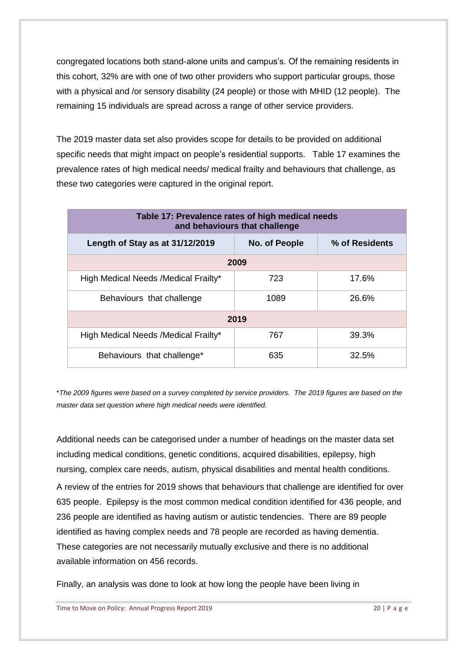congregated locations both stand-alone units and campus's. Of the remaining residents in this cohort, 32% are with one of two other providers who support particular groups, those with a physical and /or sensory disability (24 people) or those with MHID (12 people). The remaining 15 individuals are spread across a range of other service providers.

The 2019 master data set also provides scope for details to be provided on additional specific needs that might impact on people's residential supports. Table 17 examines the prevalence rates of high medical needs/ medical frailty and behaviours that challenge, as these two categories were captured in the original report.

| Table 17: Prevalence rates of high medical needs<br>and behaviours that challenge |               |                |  |
|-----------------------------------------------------------------------------------|---------------|----------------|--|
| Length of Stay as at 31/12/2019                                                   | No. of People | % of Residents |  |
|                                                                                   | 2009          |                |  |
| High Medical Needs / Medical Frailty*                                             | 723           | 17.6%          |  |
| Behaviours that challenge                                                         | 1089          | 26.6%          |  |
| 2019                                                                              |               |                |  |
| High Medical Needs / Medical Frailty*                                             | 767           | 39.3%          |  |
| Behaviours that challenge*                                                        | 635           | 32.5%          |  |

\**The 2009 figures were based on a survey completed by service providers. The 2019 figures are based on the master data set question where high medical needs were identified.* 

Additional needs can be categorised under a number of headings on the master data set including medical conditions, genetic conditions, acquired disabilities, epilepsy, high nursing, complex care needs, autism, physical disabilities and mental health conditions.

A review of the entries for 2019 shows that behaviours that challenge are identified for over 635 people. Epilepsy is the most common medical condition identified for 436 people, and 236 people are identified as having autism or autistic tendencies. There are 89 people identified as having complex needs and 78 people are recorded as having dementia. These categories are not necessarily mutually exclusive and there is no additional available information on 456 records.

Finally, an analysis was done to look at how long the people have been living in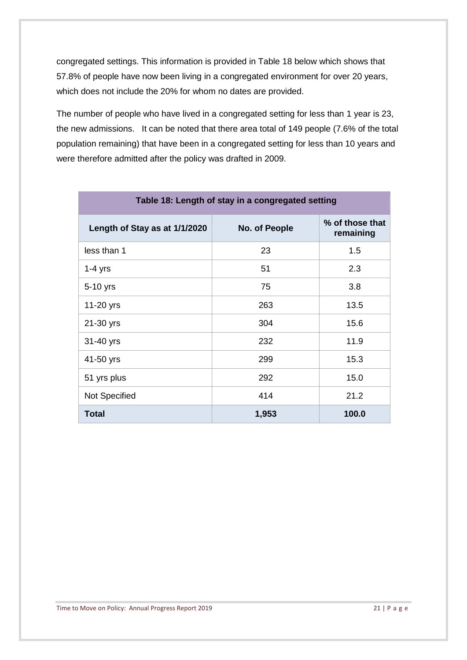congregated settings. This information is provided in Table 18 below which shows that 57.8% of people have now been living in a congregated environment for over 20 years, which does not include the 20% for whom no dates are provided.

The number of people who have lived in a congregated setting for less than 1 year is 23, the new admissions. It can be noted that there area total of 149 people (7.6% of the total population remaining) that have been in a congregated setting for less than 10 years and were therefore admitted after the policy was drafted in 2009.

| Table 18: Length of stay in a congregated setting |               |                              |
|---------------------------------------------------|---------------|------------------------------|
| Length of Stay as at 1/1/2020                     | No. of People | % of those that<br>remaining |
| less than 1                                       | 23            | 1.5                          |
| $1-4$ yrs                                         | 51            | 2.3                          |
| 5-10 yrs                                          | 75            | 3.8                          |
| 11-20 yrs                                         | 263           | 13.5                         |
| 21-30 yrs                                         | 304           | 15.6                         |
| 31-40 yrs                                         | 232           | 11.9                         |
| 41-50 yrs                                         | 299           | 15.3                         |
| 51 yrs plus                                       | 292           | 15.0                         |
| <b>Not Specified</b>                              | 414           | 21.2                         |
| <b>Total</b>                                      | 1,953         | 100.0                        |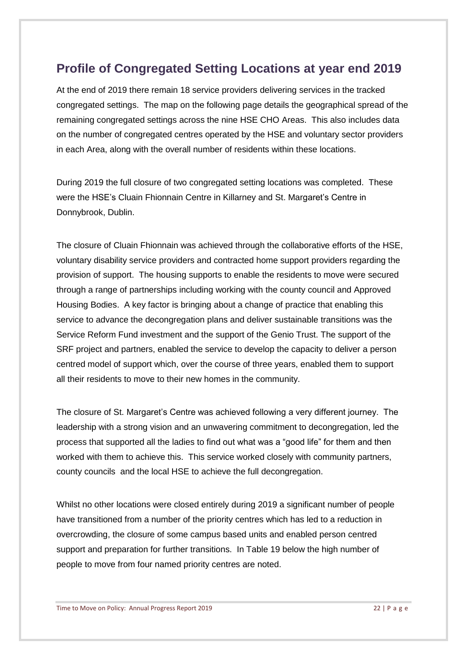## <span id="page-21-0"></span>**Profile of Congregated Setting Locations at year end 2019**

At the end of 2019 there remain 18 service providers delivering services in the tracked congregated settings. The map on the following page details the geographical spread of the remaining congregated settings across the nine HSE CHO Areas. This also includes data on the number of congregated centres operated by the HSE and voluntary sector providers in each Area, along with the overall number of residents within these locations.

During 2019 the full closure of two congregated setting locations was completed. These were the HSE's Cluain Fhionnain Centre in Killarney and St. Margaret's Centre in Donnybrook, Dublin.

The closure of Cluain Fhionnain was achieved through the collaborative efforts of the HSE, voluntary disability service providers and contracted home support providers regarding the provision of support. The housing supports to enable the residents to move were secured through a range of partnerships including working with the county council and Approved Housing Bodies. A key factor is bringing about a change of practice that enabling this service to advance the decongregation plans and deliver sustainable transitions was the Service Reform Fund investment and the support of the Genio Trust. The support of the SRF project and partners, enabled the service to develop the capacity to deliver a person centred model of support which, over the course of three years, enabled them to support all their residents to move to their new homes in the community.

The closure of St. Margaret's Centre was achieved following a very different journey. The leadership with a strong vision and an unwavering commitment to decongregation, led the process that supported all the ladies to find out what was a "good life" for them and then worked with them to achieve this. This service worked closely with community partners, county councils and the local HSE to achieve the full decongregation.

Whilst no other locations were closed entirely during 2019 a significant number of people have transitioned from a number of the priority centres which has led to a reduction in overcrowding, the closure of some campus based units and enabled person centred support and preparation for further transitions. In Table 19 below the high number of people to move from four named priority centres are noted.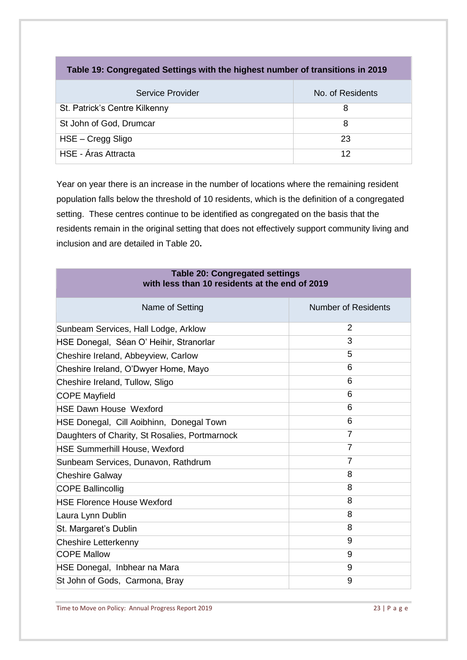| Service Provider              | No. of Residents |
|-------------------------------|------------------|
| St. Patrick's Centre Kilkenny | 8                |
| St John of God, Drumcar       | 8                |
| HSE – Cregg Sligo             | 23               |
| HSE - Áras Attracta           | 12               |

**Table 19: Congregated Settings with the highest number of transitions in 2019**

Year on year there is an increase in the number of locations where the remaining resident population falls below the threshold of 10 residents, which is the definition of a congregated setting. These centres continue to be identified as congregated on the basis that the residents remain in the original setting that does not effectively support community living and inclusion and are detailed in Table 20**.** 

| <b>Table 20: Congregated settings</b>          |  |
|------------------------------------------------|--|
| with less than 10 residents at the end of 2019 |  |

| Name of Setting                                | Number of Residents |
|------------------------------------------------|---------------------|
| Sunbeam Services, Hall Lodge, Arklow           | 2                   |
| HSE Donegal, Séan O' Heihir, Stranorlar        | 3                   |
| Cheshire Ireland, Abbeyview, Carlow            | 5                   |
| Cheshire Ireland, O'Dwyer Home, Mayo           | 6                   |
| Cheshire Ireland, Tullow, Sligo                | 6                   |
| <b>COPE Mayfield</b>                           | 6                   |
| <b>HSE Dawn House Wexford</b>                  | 6                   |
| HSE Donegal, Cill Aoibhinn, Donegal Town       | 6                   |
| Daughters of Charity, St Rosalies, Portmarnock | 7                   |
| <b>HSE Summerhill House, Wexford</b>           | 7                   |
| Sunbeam Services, Dunavon, Rathdrum            | $\overline{7}$      |
| <b>Cheshire Galway</b>                         | 8                   |
| <b>COPE Ballincollig</b>                       | 8                   |
| <b>HSE Florence House Wexford</b>              | 8                   |
| Laura Lynn Dublin                              | 8                   |
| St. Margaret's Dublin                          | 8                   |
| Cheshire Letterkenny                           | 9                   |
| <b>COPE Mallow</b>                             | 9                   |
| HSE Donegal, Inbhear na Mara                   | 9                   |
| St John of Gods, Carmona, Bray                 | 9                   |

Time to Move on Policy: Annual Progress Report 2019 23 | P a g e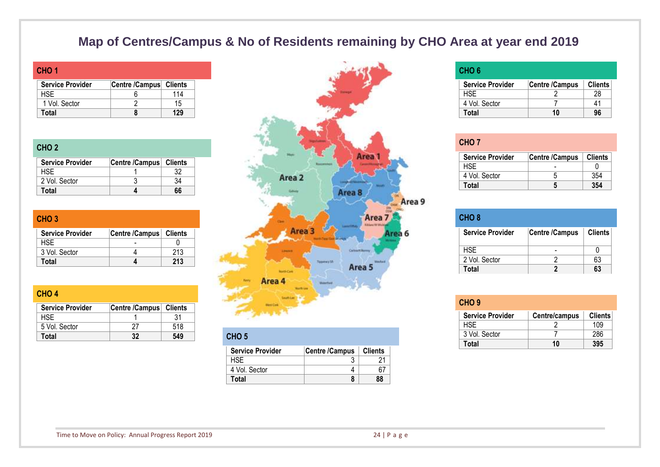# **Map of Centres/Campus & No of Residents remaining by CHO Area at year end 2019**

| CHO <sub>1</sub>        |                        |     |
|-------------------------|------------------------|-----|
| <b>Service Provider</b> | Centre /Campus Clients |     |
| HSF.                    |                        | 114 |
| 1 Vol. Sector           |                        | 15  |
| Total                   |                        | 129 |

### **CHO 2**

**CHO 4**

| <b>Service Provider</b> | Centre /Campus   Clients |    |
|-------------------------|--------------------------|----|
| HSF                     |                          |    |
| 2 Vol. Sector           |                          |    |
| Total                   |                          | 66 |

| CHO <sub>3</sub>        |                          |     |
|-------------------------|--------------------------|-----|
| <b>Service Provider</b> | Centre /Campus   Clients |     |
| HSE.                    |                          |     |
| 3 Vol. Sector           |                          | 213 |
| Total                   |                          | 213 |

| $\mathbf{v}$            |                |         |                  |
|-------------------------|----------------|---------|------------------|
| <b>Service Provider</b> | Centre /Campus | Clients |                  |
| <b>HSE</b>              |                |         |                  |
| 5 Vol. Sector           |                | 518     |                  |
| Total                   | 32             | 549     | CHO <sub>5</sub> |



| CHO <sub>5</sub>        |                |                |
|-------------------------|----------------|----------------|
| <b>Service Provider</b> | Centre /Campus | <b>Clients</b> |
| HSF                     |                |                |
| 4 Vol. Sector           |                |                |
| Total                   |                | 88             |

### **CHO 6**

| <b>Service Provider</b> | Centre /Campus | <b>Clients</b> |
|-------------------------|----------------|----------------|
| HSE.                    |                | 28             |
| 4 Vol. Sector           |                |                |
| Total                   | 10             | 96             |

| CHO <sub>7</sub>        |                       |                |
|-------------------------|-----------------------|----------------|
| <b>Service Provider</b> | <b>Centre /Campus</b> | <b>Clients</b> |
| <b>HSF</b>              |                       |                |
| 4 Vol. Sector           |                       | 354            |
| Total                   |                       | 354            |

| CHO <sub>8</sub>        |                |                |
|-------------------------|----------------|----------------|
| <b>Service Provider</b> | Centre /Campus | <b>Clients</b> |
| HSE.                    |                |                |
| 2 Vol. Sector           |                | 63             |
| Total                   |                | 63             |

| CHO <sub>9</sub>        |               |                |
|-------------------------|---------------|----------------|
| <b>Service Provider</b> | Centre/campus | <b>Clients</b> |
| HSE.                    |               | 109            |
| 3 Vol. Sector           |               | 286            |
| Total                   | 10            | 395            |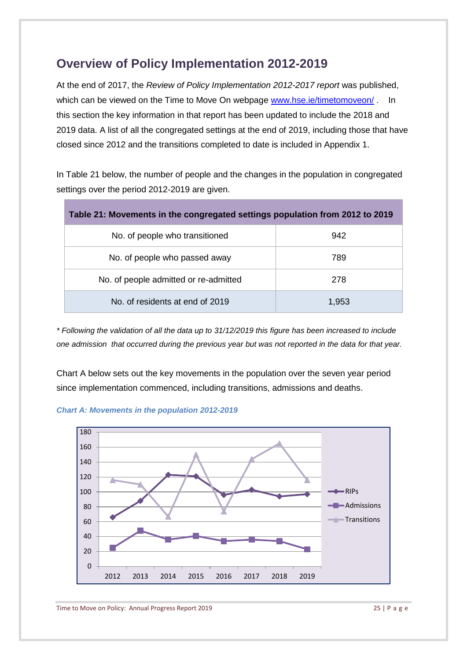# <span id="page-24-0"></span>**Overview of Policy Implementation 2012-2019**

At the end of 2017, the *Review of Policy Implementation 2012-2017 report* was published, which can be viewed on the Time to Move On webpage [www.hse.ie/timetomoveon/](http://www.hse.ie/timetomoveon/) . In this section the key information in that report has been updated to include the 2018 and 2019 data. A list of all the congregated settings at the end of 2019, including those that have closed since 2012 and the transitions completed to date is included in Appendix 1.

In Table 21 below, the number of people and the changes in the population in congregated settings over the period 2012-2019 are given.

| Table 21: Movements in the congregated settings population from 2012 to 2019 |       |  |
|------------------------------------------------------------------------------|-------|--|
| No. of people who transitioned                                               | 942   |  |
| No. of people who passed away                                                | 789   |  |
| No. of people admitted or re-admitted                                        | 278   |  |
| No. of residents at end of 2019                                              | 1,953 |  |

*\* Following the validation of all the data up to 31/12/2019 this figure has been increased to include one admission that occurred during the previous year but was not reported in the data for that year.*

Chart A below sets out the key movements in the population over the seven year period since implementation commenced, including transitions, admissions and deaths.



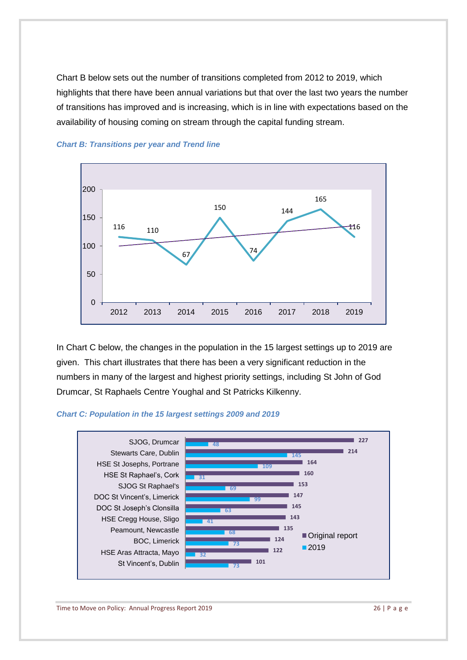Chart B below sets out the number of transitions completed from 2012 to 2019, which highlights that there have been annual variations but that over the last two years the number of transitions has improved and is increasing, which is in line with expectations based on the availability of housing coming on stream through the capital funding stream.





In Chart C below, the changes in the population in the 15 largest settings up to 2019 are given. This chart illustrates that there has been a very significant reduction in the numbers in many of the largest and highest priority settings, including St John of God Drumcar, St Raphaels Centre Youghal and St Patricks Kilkenny.

#### *Chart C: Population in the 15 largest settings 2009 and 2019*

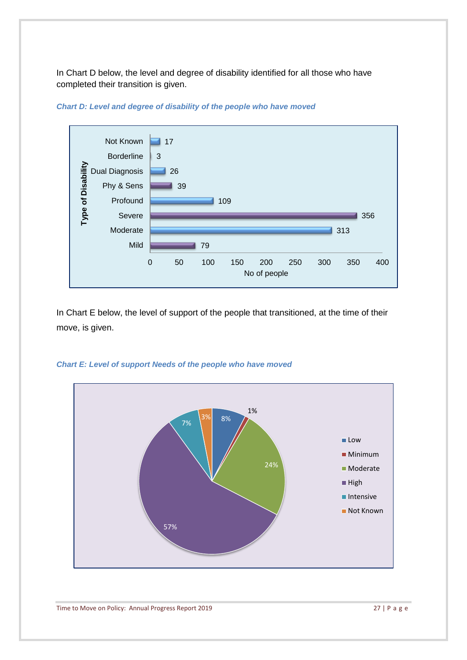In Chart D below, the level and degree of disability identified for all those who have completed their transition is given.



### *Chart D: Level and degree of disability of the people who have moved*

In Chart E below, the level of support of the people that transitioned, at the time of their move, is given.



### *Chart E: Level of support Needs of the people who have moved*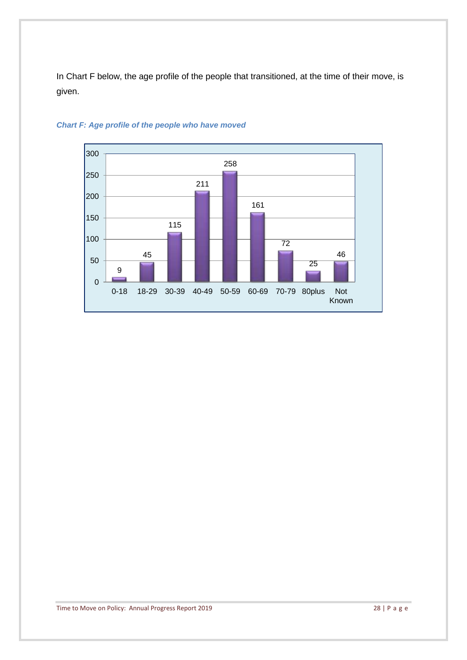In Chart F below, the age profile of the people that transitioned, at the time of their move, is given.



### *Chart F: Age profile of the people who have moved*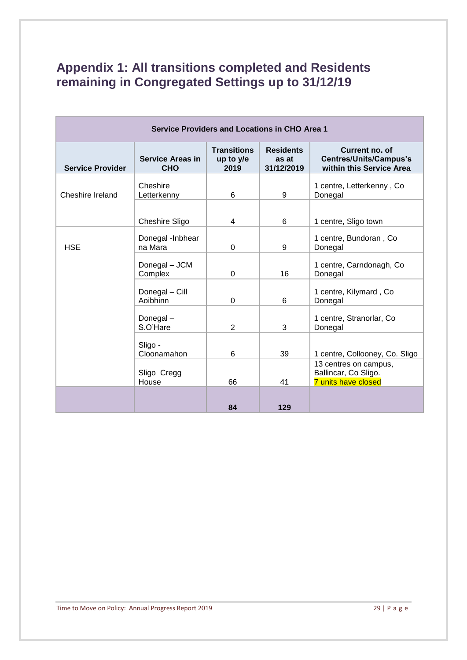# <span id="page-28-0"></span>**Appendix 1: All transitions completed and Residents remaining in Congregated Settings up to 31/12/19**

| <b>Service Providers and Locations in CHO Area 1</b> |                                       |                                         |                                         |                                                                             |
|------------------------------------------------------|---------------------------------------|-----------------------------------------|-----------------------------------------|-----------------------------------------------------------------------------|
| <b>Service Provider</b>                              | <b>Service Areas in</b><br><b>CHO</b> | <b>Transitions</b><br>up to y/e<br>2019 | <b>Residents</b><br>as at<br>31/12/2019 | Current no. of<br><b>Centres/Units/Campus's</b><br>within this Service Area |
| Cheshire Ireland                                     | Cheshire<br>Letterkenny               | 6                                       | 9                                       | 1 centre, Letterkenny, Co<br>Donegal                                        |
|                                                      | Cheshire Sligo                        | 4                                       | 6                                       | 1 centre, Sligo town                                                        |
| <b>HSE</b>                                           | Donegal -Inbhear<br>na Mara           | $\Omega$                                | 9                                       | 1 centre, Bundoran, Co<br>Donegal                                           |
|                                                      | Donegal - JCM<br>Complex              | $\Omega$                                | 16                                      | 1 centre, Carndonagh, Co.<br>Donegal                                        |
|                                                      | Donegal - Cill<br>Aoibhinn            | $\Omega$                                | 6                                       | 1 centre, Kilymard, Co.<br>Donegal                                          |
|                                                      | Donegal-<br>S.O'Hare                  | 2                                       | 3                                       | 1 centre, Stranorlar, Co<br>Donegal                                         |
|                                                      | Sligo -<br>Cloonamahon                | 6                                       | 39                                      | 1 centre, Collooney, Co. Sligo                                              |
|                                                      | Sligo Cregg<br>House                  | 66                                      | 41                                      | 13 centres on campus,<br>Ballincar, Co Sligo.<br><b>7 units have closed</b> |
|                                                      |                                       | 84                                      | 129                                     |                                                                             |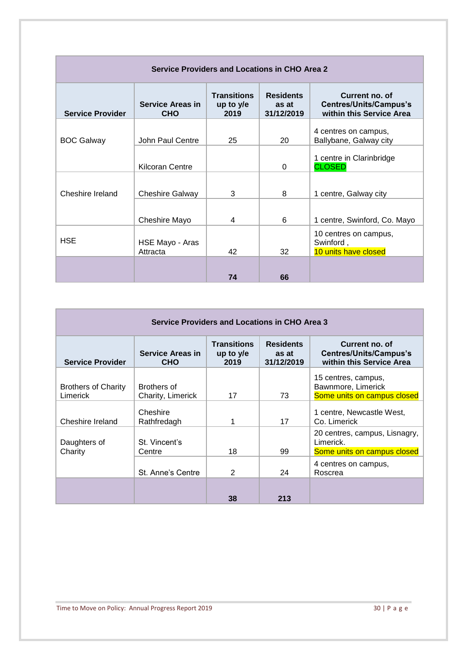| <b>Service Providers and Locations in CHO Area 2</b> |                                       |                                         |                                         |                                                                             |
|------------------------------------------------------|---------------------------------------|-----------------------------------------|-----------------------------------------|-----------------------------------------------------------------------------|
| <b>Service Provider</b>                              | <b>Service Areas in</b><br><b>CHO</b> | <b>Transitions</b><br>up to y/e<br>2019 | <b>Residents</b><br>as at<br>31/12/2019 | Current no. of<br><b>Centres/Units/Campus's</b><br>within this Service Area |
| <b>BOC Galway</b>                                    | John Paul Centre                      | 25                                      | 20                                      | 4 centres on campus,<br>Ballybane, Galway city                              |
|                                                      | <b>Kilcoran Centre</b>                |                                         | 0                                       | 1 centre in Clarinbridge<br><b>CLOSED</b>                                   |
| Cheshire Ireland                                     | Cheshire Galway                       | 3                                       | 8                                       | 1 centre, Galway city                                                       |
|                                                      | Cheshire Mayo                         | 4                                       | 6                                       | 1 centre, Swinford, Co. Mayo                                                |
| <b>HSE</b>                                           | HSE Mayo - Aras<br>Attracta           | 42                                      | 32                                      | 10 centres on campus,<br>Swinford,<br>10 units have closed                  |
|                                                      |                                       | 74                                      | 66                                      |                                                                             |

| <b>Service Providers and Locations in CHO Area 3</b> |                                       |                                           |                                         |                                                                             |
|------------------------------------------------------|---------------------------------------|-------------------------------------------|-----------------------------------------|-----------------------------------------------------------------------------|
| <b>Service Provider</b>                              | <b>Service Areas in</b><br><b>CHO</b> | <b>Transitions</b><br>up to $y/e$<br>2019 | <b>Residents</b><br>as at<br>31/12/2019 | Current no. of<br><b>Centres/Units/Campus's</b><br>within this Service Area |
| <b>Brothers of Charity</b><br>Limerick               | Brothers of<br>Charity, Limerick      | 17                                        | 73                                      | 15 centres, campus,<br>Bawnmore, Limerick<br>Some units on campus closed    |
| Cheshire Ireland                                     | Cheshire<br>Rathfredagh               |                                           | 17                                      | 1 centre, Newcastle West,<br>Co. Limerick                                   |
| Daughters of<br>Charity                              | St. Vincent's<br>Centre               | 18                                        | 99                                      | 20 centres, campus, Lisnagry,<br>Limerick.<br>Some units on campus closed   |
|                                                      | St. Anne's Centre                     | 2                                         | 24                                      | 4 centres on campus,<br>Roscrea                                             |
|                                                      |                                       | 38                                        | 213                                     |                                                                             |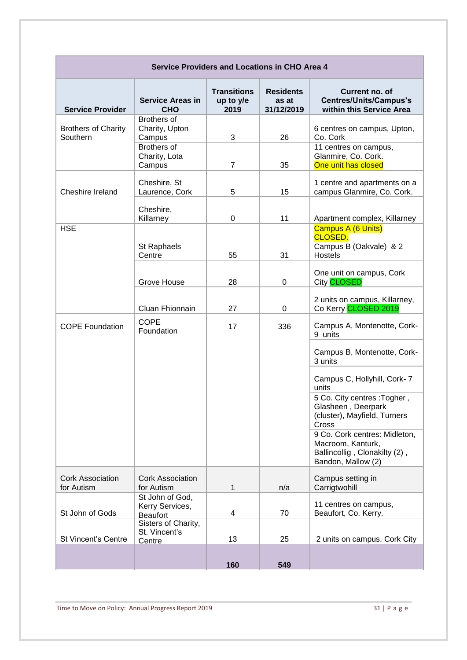| <b>Service Providers and Locations in CHO Area 4</b> |                                                               |                                         |                                         |                                                                                                           |
|------------------------------------------------------|---------------------------------------------------------------|-----------------------------------------|-----------------------------------------|-----------------------------------------------------------------------------------------------------------|
| <b>Service Provider</b>                              | <b>Service Areas in</b><br><b>CHO</b>                         | <b>Transitions</b><br>up to y/e<br>2019 | <b>Residents</b><br>as at<br>31/12/2019 | Current no. of<br><b>Centres/Units/Campus's</b><br>within this Service Area                               |
| <b>Brothers of Charity</b><br>Southern               | Brothers of<br>Charity, Upton<br>Campus<br><b>Brothers of</b> | 3                                       | 26                                      | 6 centres on campus, Upton,<br>Co. Cork<br>11 centres on campus,                                          |
|                                                      | Charity, Lota<br>Campus                                       | $\overline{7}$                          | 35                                      | Glanmire, Co. Cork.<br>One unit has closed                                                                |
| Cheshire Ireland                                     | Cheshire, St<br>Laurence, Cork                                | 5                                       | 15                                      | 1 centre and apartments on a<br>campus Glanmire, Co. Cork.                                                |
|                                                      | Cheshire,<br>Killarney                                        | 0                                       | 11                                      | Apartment complex, Killarney                                                                              |
| <b>HSE</b>                                           | St Raphaels<br>Centre                                         | 55                                      | 31                                      | Campus A (6 Units)<br><b>CLOSED.</b><br>Campus B (Oakvale) & 2<br><b>Hostels</b>                          |
|                                                      | Grove House                                                   | 28                                      | 0                                       | One unit on campus, Cork<br>City CLOSED                                                                   |
|                                                      | Cluan Fhionnain                                               | 27                                      | 0                                       | 2 units on campus, Killarney,<br>Co Kerry CLOSED 2019                                                     |
| <b>COPE Foundation</b>                               | <b>COPE</b><br>Foundation                                     | 17                                      | 336                                     | Campus A, Montenotte, Cork-<br>9 units                                                                    |
|                                                      |                                                               |                                         |                                         | Campus B, Montenotte, Cork-<br>3 units                                                                    |
|                                                      |                                                               |                                         |                                         | Campus C, Hollyhill, Cork-7<br>units                                                                      |
|                                                      |                                                               |                                         |                                         | 5 Co. City centres : Togher,<br>Glasheen, Deerpark<br>(cluster), Mayfield, Turners<br>Cross               |
|                                                      |                                                               |                                         |                                         | 9 Co. Cork centres: Midleton,<br>Macroom, Kanturk,<br>Ballincollig, Clonakilty (2),<br>Bandon, Mallow (2) |
| <b>Cork Association</b><br>for Autism                | <b>Cork Association</b><br>for Autism                         | 1                                       | n/a                                     | Campus setting in<br>Carrigtwohill                                                                        |
| St John of Gods                                      | St John of God,<br>Kerry Services,<br><b>Beaufort</b>         | 4                                       | 70                                      | 11 centres on campus,<br>Beaufort, Co. Kerry.                                                             |
| <b>St Vincent's Centre</b>                           | Sisters of Charity,<br>St. Vincent's<br>Centre                | 13                                      | 25                                      | 2 units on campus, Cork City                                                                              |
|                                                      |                                                               | 160                                     | 549                                     |                                                                                                           |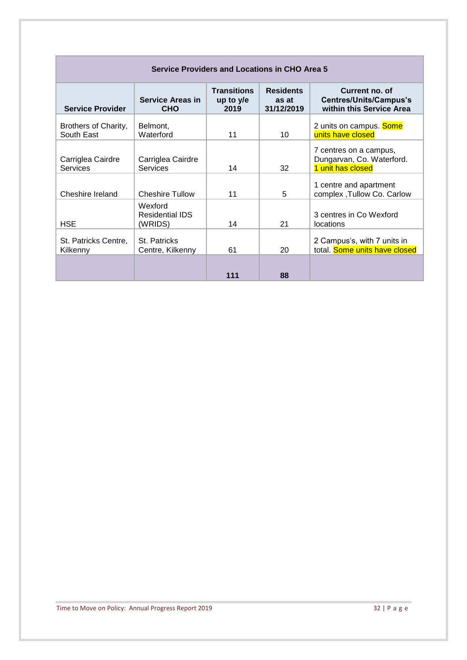| <b>Service Providers and Locations in CHO Area 5</b> |                                              |                                           |                                         |                                                                             |
|------------------------------------------------------|----------------------------------------------|-------------------------------------------|-----------------------------------------|-----------------------------------------------------------------------------|
| <b>Service Provider</b>                              | <b>Service Areas in</b><br><b>CHO</b>        | <b>Transitions</b><br>up to $y/e$<br>2019 | <b>Residents</b><br>as at<br>31/12/2019 | Current no. of<br><b>Centres/Units/Campus's</b><br>within this Service Area |
| Brothers of Charity,<br>South East                   | Belmont,<br>Waterford                        | 11                                        | 10                                      | 2 units on campus. Some<br>units have closed                                |
| Carriglea Cairdre<br>Services                        | Carriglea Cairdre<br><b>Services</b>         | 14                                        | 32                                      | 7 centres on a campus,<br>Dungarvan, Co. Waterford.<br>1 unit has closed    |
| Cheshire Ireland                                     | <b>Cheshire Tullow</b>                       | 11                                        | 5                                       | 1 centre and apartment<br>complex, Tullow Co. Carlow                        |
| <b>HSE</b>                                           | Wexford<br><b>Residential IDS</b><br>(WRIDS) | 14                                        | 21                                      | 3 centres in Co Wexford<br>locations                                        |
| St. Patricks Centre,<br>Kilkenny                     | St. Patricks<br>Centre, Kilkenny             | 61                                        | 20                                      | 2 Campus's, with 7 units in<br>total. Some units have closed                |
|                                                      |                                              | 111                                       | 88                                      |                                                                             |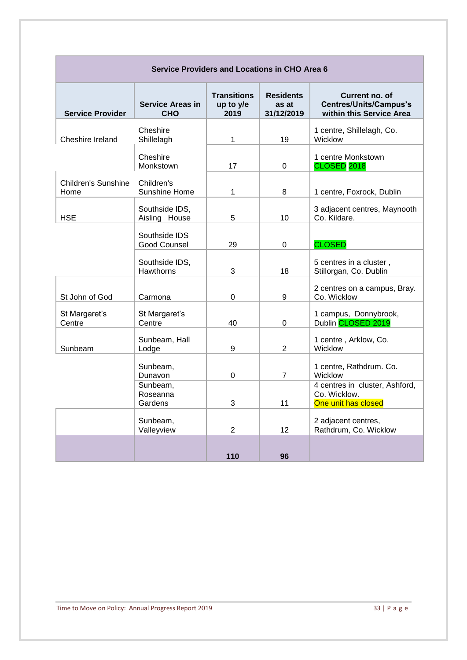| <b>Service Providers and Locations in CHO Area 6</b> |                                       |                                         |                                         |                                                                             |  |
|------------------------------------------------------|---------------------------------------|-----------------------------------------|-----------------------------------------|-----------------------------------------------------------------------------|--|
| <b>Service Provider</b>                              | <b>Service Areas in</b><br><b>CHO</b> | <b>Transitions</b><br>up to y/e<br>2019 | <b>Residents</b><br>as at<br>31/12/2019 | Current no. of<br><b>Centres/Units/Campus's</b><br>within this Service Area |  |
| Cheshire Ireland                                     | Cheshire<br>Shillelagh                | 1                                       | 19                                      | 1 centre, Shillelagh, Co.<br>Wicklow                                        |  |
|                                                      | Cheshire<br>Monkstown                 | 17                                      | 0                                       | 1 centre Monkstown<br>CLOSED <sub>2018</sub>                                |  |
| <b>Children's Sunshine</b><br>Home                   | Children's<br>Sunshine Home           | 1                                       | 8                                       | 1 centre, Foxrock, Dublin                                                   |  |
| <b>HSE</b>                                           | Southside IDS,<br>Aisling House       | 5                                       | 10                                      | 3 adjacent centres, Maynooth<br>Co. Kildare.                                |  |
|                                                      | Southside IDS<br>Good Counsel         | 29                                      | 0                                       | <b>CLOSED</b>                                                               |  |
|                                                      | Southside IDS,<br>Hawthorns           | 3                                       | 18                                      | 5 centres in a cluster,<br>Stillorgan, Co. Dublin                           |  |
| St John of God                                       | Carmona                               | 0                                       | 9                                       | 2 centres on a campus, Bray.<br>Co. Wicklow                                 |  |
| St Margaret's<br>Centre                              | St Margaret's<br>Centre               | 40                                      | 0                                       | 1 campus, Donnybrook,<br>Dublin CLOSED 2019                                 |  |
| Sunbeam                                              | Sunbeam, Hall<br>Lodge                | 9                                       | $\overline{2}$                          | 1 centre, Arklow, Co.<br>Wicklow                                            |  |
|                                                      | Sunbeam,<br>Dunavon                   | 0                                       | $\overline{7}$                          | 1 centre, Rathdrum. Co.<br>Wicklow                                          |  |
|                                                      | Sunbeam.<br>Roseanna<br>Gardens       | 3                                       | 11                                      | 4 centres in cluster, Ashford,<br>Co. Wicklow.<br>One unit has closed       |  |
|                                                      | Sunbeam,<br>Valleyview                | 2                                       | 12                                      | 2 adjacent centres,<br>Rathdrum, Co. Wicklow                                |  |
|                                                      |                                       | 110                                     | 96                                      |                                                                             |  |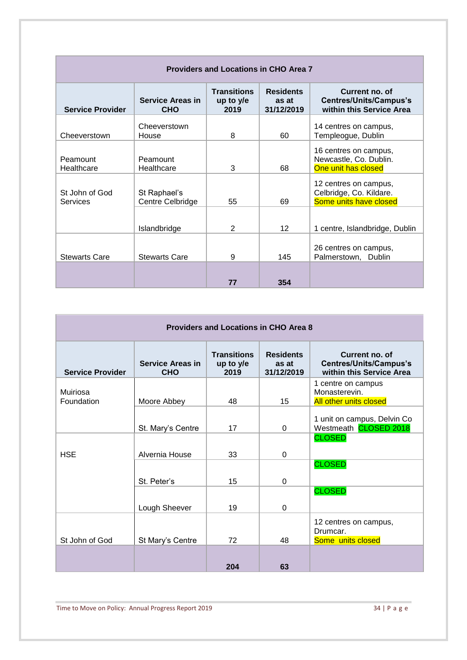| <b>Providers and Locations in CHO Area 7</b> |                                       |                                         |                                         |                                                                             |
|----------------------------------------------|---------------------------------------|-----------------------------------------|-----------------------------------------|-----------------------------------------------------------------------------|
| <b>Service Provider</b>                      | <b>Service Areas in</b><br><b>CHO</b> | <b>Transitions</b><br>up to y/e<br>2019 | <b>Residents</b><br>as at<br>31/12/2019 | Current no. of<br><b>Centres/Units/Campus's</b><br>within this Service Area |
| Cheeverstown                                 | Cheeverstown<br>House                 | 8                                       | 60                                      | 14 centres on campus,<br>Templeogue, Dublin                                 |
| Peamount<br>Healthcare                       | Peamount<br>Healthcare                | 3                                       | 68                                      | 16 centres on campus,<br>Newcastle, Co. Dublin.<br>One unit has closed      |
| St John of God<br>Services                   | St Raphael's<br>Centre Celbridge      | 55                                      | 69                                      | 12 centres on campus,<br>Celbridge, Co. Kildare.<br>Some units have closed  |
|                                              | Islandbridge                          | 2                                       | 12 <sup>2</sup>                         | 1 centre, Islandbridge, Dublin                                              |
| <b>Stewarts Care</b>                         | <b>Stewarts Care</b>                  | 9                                       | 145                                     | 26 centres on campus,<br>Palmerstown, Dublin                                |
|                                              |                                       | 77                                      | 354                                     |                                                                             |

| <b>Providers and Locations in CHO Area 8</b> |                                       |                                           |                                         |                                                                             |
|----------------------------------------------|---------------------------------------|-------------------------------------------|-----------------------------------------|-----------------------------------------------------------------------------|
| <b>Service Provider</b>                      | <b>Service Areas in</b><br><b>CHO</b> | <b>Transitions</b><br>up to $y/e$<br>2019 | <b>Residents</b><br>as at<br>31/12/2019 | Current no. of<br><b>Centres/Units/Campus's</b><br>within this Service Area |
| Muiriosa<br>Foundation                       | Moore Abbey                           | 48                                        | 15                                      | 1 centre on campus<br>Monasterevin.<br><b>All other units closed</b>        |
|                                              | St. Mary's Centre                     | 17                                        | $\Omega$                                | 1 unit on campus, Delvin Co<br>Westmeath CLOSED 2018                        |
| <b>HSE</b>                                   | Alvernia House                        | 33                                        | $\Omega$                                | <b>CLOSED</b>                                                               |
|                                              | St. Peter's                           | 15                                        | $\Omega$                                | <b>CLOSED</b>                                                               |
|                                              | Lough Sheever                         | 19                                        | $\Omega$                                | <b>CLOSED</b>                                                               |
| St John of God                               | St Mary's Centre                      | 72                                        | 48                                      | 12 centres on campus,<br>Drumcar.<br>Some units closed                      |
|                                              |                                       | 204                                       | 63                                      |                                                                             |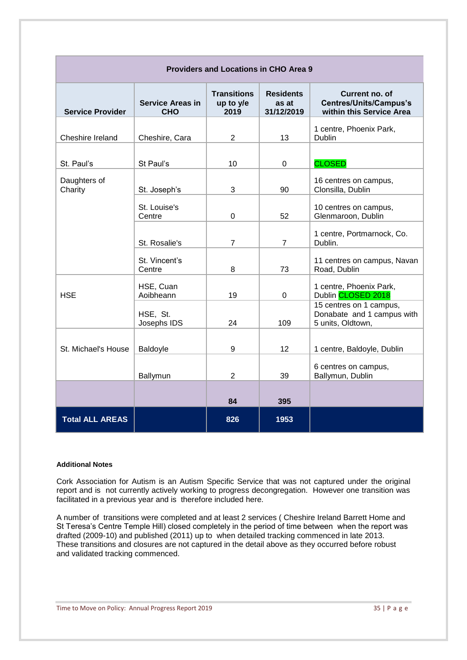| <b>Providers and Locations in CHO Area 9</b> |                                       |                                         |                                         |                                                                             |
|----------------------------------------------|---------------------------------------|-----------------------------------------|-----------------------------------------|-----------------------------------------------------------------------------|
| <b>Service Provider</b>                      | <b>Service Areas in</b><br><b>CHO</b> | <b>Transitions</b><br>up to y/e<br>2019 | <b>Residents</b><br>as at<br>31/12/2019 | Current no. of<br><b>Centres/Units/Campus's</b><br>within this Service Area |
| Cheshire Ireland                             | Cheshire, Cara                        | $\overline{2}$                          | 13                                      | 1 centre, Phoenix Park,<br>Dublin                                           |
| St. Paul's                                   | St Paul's                             | 10                                      | $\mathbf 0$                             | <b>CLOSED</b>                                                               |
| Daughters of<br>Charity                      | St. Joseph's                          | 3                                       | 90                                      | 16 centres on campus,<br>Clonsilla, Dublin                                  |
|                                              | St. Louise's<br>Centre                | 0                                       | 52                                      | 10 centres on campus,<br>Glenmaroon, Dublin                                 |
|                                              | St. Rosalie's                         | $\overline{7}$                          | $\overline{7}$                          | 1 centre, Portmarnock, Co.<br>Dublin.                                       |
|                                              | St. Vincent's<br>Centre               | 8                                       | 73                                      | 11 centres on campus, Navan<br>Road, Dublin                                 |
| <b>HSE</b>                                   | HSE, Cuan<br>Aoibheann                | 19                                      | $\mathbf 0$                             | 1 centre, Phoenix Park,<br>Dublin CLOSED 2018                               |
|                                              | HSE, St.<br>Josephs IDS               | 24                                      | 109                                     | 15 centres on 1 campus,<br>Donabate and 1 campus with<br>5 units, Oldtown,  |
| St. Michael's House                          | Baldoyle                              | 9                                       | 12                                      | 1 centre, Baldoyle, Dublin                                                  |
|                                              | Ballymun                              | $\overline{2}$                          | 39                                      | 6 centres on campus,<br>Ballymun, Dublin                                    |
|                                              |                                       | 84                                      | 395                                     |                                                                             |
| <b>Total ALL AREAS</b>                       |                                       | 826                                     | 1953                                    |                                                                             |

#### **Additional Notes**

Cork Association for Autism is an Autism Specific Service that was not captured under the original report and is not currently actively working to progress decongregation. However one transition was facilitated in a previous year and is therefore included here*.* 

A number of transitions were completed and at least 2 services ( Cheshire Ireland Barrett Home and St Teresa's Centre Temple Hill) closed completely in the period of time between when the report was drafted (2009-10) and published (2011) up to when detailed tracking commenced in late 2013. These transitions and closures are not captured in the detail above as they occurred before robust and validated tracking commenced.